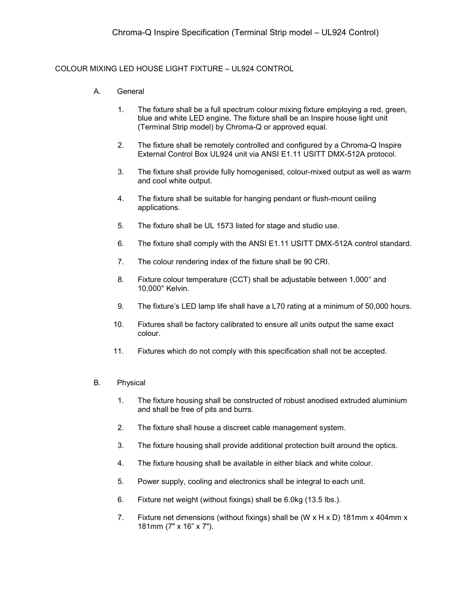## COLOUR MIXING LED HOUSE LIGHT FIXTURE – UL924 CONTROL

- A. General
	- 1. The fixture shall be a full spectrum colour mixing fixture employing a red, green, blue and white LED engine. The fixture shall be an Inspire house light unit (Terminal Strip model) by Chroma-Q or approved equal.
	- 2. The fixture shall be remotely controlled and configured by a Chroma-Q Inspire External Control Box UL924 unit via ANSI E1.11 USITT DMX-512A protocol.
	- 3. The fixture shall provide fully homogenised, colour-mixed output as well as warm and cool white output.
	- 4. The fixture shall be suitable for hanging pendant or flush-mount ceiling applications.
	- 5. The fixture shall be UL 1573 listed for stage and studio use.
	- 6. The fixture shall comply with the ANSI E1.11 USITT DMX-512A control standard.
	- 7. The colour rendering index of the fixture shall be 90 CRI.
	- 8. Fixture colour temperature (CCT) shall be adjustable between 1,000° and 10,000° Kelvin.
	- 9. The fixture's LED lamp life shall have a L70 rating at a minimum of 50,000 hours.
	- 10. Fixtures shall be factory calibrated to ensure all units output the same exact colour.
	- 11. Fixtures which do not comply with this specification shall not be accepted.

## B. Physical

- 1. The fixture housing shall be constructed of robust anodised extruded aluminium and shall be free of pits and burrs.
- 2. The fixture shall house a discreet cable management system.
- 3. The fixture housing shall provide additional protection built around the optics.
- 4. The fixture housing shall be available in either black and white colour.
- 5. Power supply, cooling and electronics shall be integral to each unit.
- 6. Fixture net weight (without fixings) shall be 6.0kg (13.5 lbs.).
- 7. Fixture net dimensions (without fixings) shall be (W x H x D) 181mm x 404mm x 181mm (7" x 16" x 7").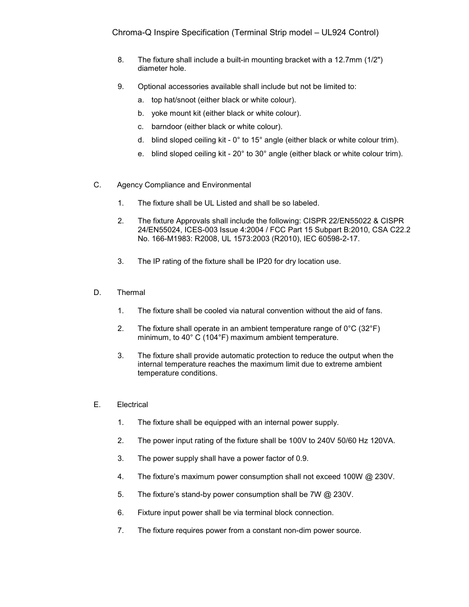- 8. The fixture shall include a built-in mounting bracket with a 12.7mm (1/2") diameter hole.
- 9. Optional accessories available shall include but not be limited to:
	- a. top hat/snoot (either black or white colour).
	- b. yoke mount kit (either black or white colour).
	- c. barndoor (either black or white colour).
	- d. blind sloped ceiling kit 0° to 15° angle (either black or white colour trim).
	- e. blind sloped ceiling kit 20° to 30° angle (either black or white colour trim).
- C. Agency Compliance and Environmental
	- 1. The fixture shall be UL Listed and shall be so labeled.
	- 2. The fixture Approvals shall include the following: CISPR 22/EN55022 & CISPR 24/EN55024, ICES-003 Issue 4:2004 / FCC Part 15 Subpart B:2010, CSA C22.2 No. 166-M1983: R2008, UL 1573:2003 (R2010), IEC 60598-2-17.
	- 3. The IP rating of the fixture shall be IP20 for dry location use.
- D. Thermal
	- 1. The fixture shall be cooled via natural convention without the aid of fans.
	- 2. The fixture shall operate in an ambient temperature range of  $0^{\circ}C$  (32 $^{\circ}F$ ) minimum, to 40° C (104°F) maximum ambient temperature.
	- 3. The fixture shall provide automatic protection to reduce the output when the internal temperature reaches the maximum limit due to extreme ambient temperature conditions.
- E. Electrical
	- 1. The fixture shall be equipped with an internal power supply.
	- 2. The power input rating of the fixture shall be 100V to 240V 50/60 Hz 120VA.
	- 3. The power supply shall have a power factor of 0.9.
	- 4. The fixture's maximum power consumption shall not exceed 100W @ 230V.
	- 5. The fixture's stand-by power consumption shall be 7W @ 230V.
	- 6. Fixture input power shall be via terminal block connection.
	- 7. The fixture requires power from a constant non-dim power source.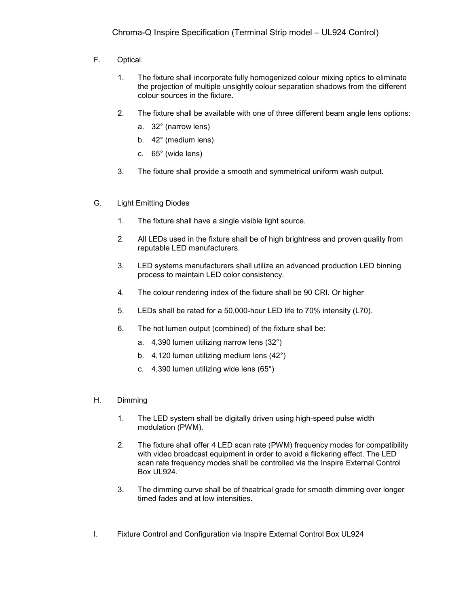- F. Optical
	- 1. The fixture shall incorporate fully homogenized colour mixing optics to eliminate the projection of multiple unsightly colour separation shadows from the different colour sources in the fixture.
	- 2. The fixture shall be available with one of three different beam angle lens options:
		- a. 32° (narrow lens)
		- b. 42° (medium lens)
		- c. 65° (wide lens)
	- 3. The fixture shall provide a smooth and symmetrical uniform wash output.
- G. Light Emitting Diodes
	- 1. The fixture shall have a single visible light source.
	- 2. All LEDs used in the fixture shall be of high brightness and proven quality from reputable LED manufacturers.
	- 3. LED systems manufacturers shall utilize an advanced production LED binning process to maintain LED color consistency.
	- 4. The colour rendering index of the fixture shall be 90 CRI. Or higher
	- 5. LEDs shall be rated for a 50,000-hour LED life to 70% intensity (L70).
	- 6. The hot lumen output (combined) of the fixture shall be:
		- a. 4,390 lumen utilizing narrow lens (32°)
		- b. 4,120 lumen utilizing medium lens (42°)
		- c. 4,390 lumen utilizing wide lens (65°)
- H. Dimming
	- 1. The LED system shall be digitally driven using high-speed pulse width modulation (PWM).
	- 2. The fixture shall offer 4 LED scan rate (PWM) frequency modes for compatibility with video broadcast equipment in order to avoid a flickering effect. The LED scan rate frequency modes shall be controlled via the Inspire External Control Box UL924.
	- 3. The dimming curve shall be of theatrical grade for smooth dimming over longer timed fades and at low intensities.
- I. Fixture Control and Configuration via Inspire External Control Box UL924